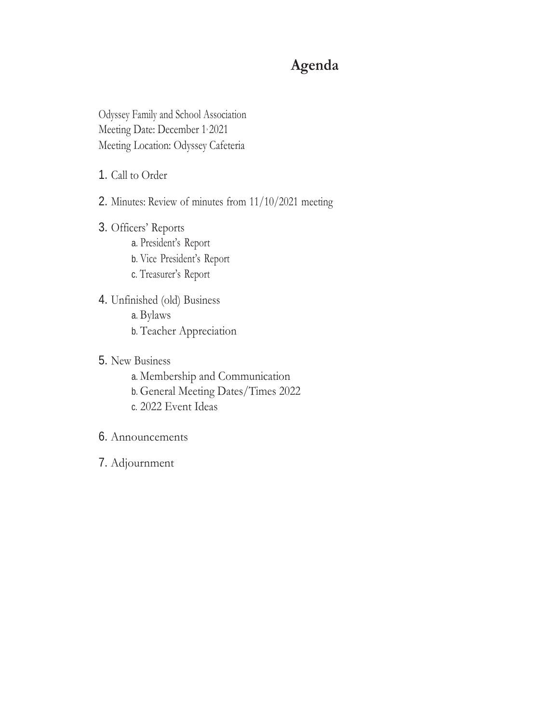# **Agenda**

Odyssey Family and School Association Meeting Date: December 1, 2021 Meeting Location: Odyssey Cafeteria

- 1. Call to Order
- 2. Minutes: Review of minutes from 11/10/2021 meeting
- 3. Officers' Reports a. President's Report b. Vice President's Report c. Treasurer's Report
- 4. Unfinished (old) Business a. Bylaws b. Teacher Appreciation
- 5. New Business
	- a. Membership and Communication
	- b. General Meeting Dates/Times 2022
	- c. 2022 Event Ideas
- 6. Announcements
- 7. Adjournment